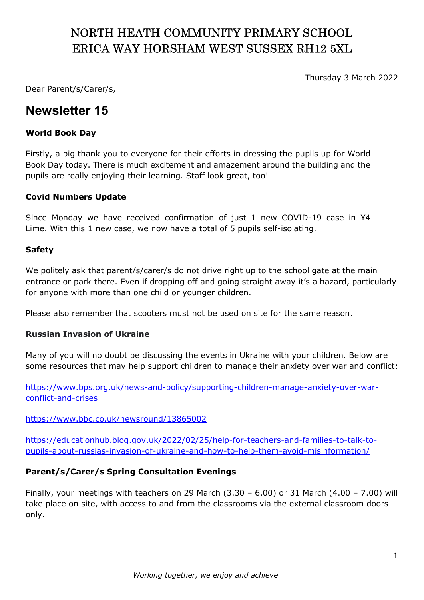# NORTH HEATH COMMUNITY PRIMARY SCHOOL ERICA WAY HORSHAM WEST SUSSEX RH12 5XL

Thursday 3 March 2022

Dear Parent/s/Carer/s,

## Newsletter 15

#### World Book Day

Firstly, a big thank you to everyone for their efforts in dressing the pupils up for World Book Day today. There is much excitement and amazement around the building and the pupils are really enjoying their learning. Staff look great, too!

### Covid Numbers Update

Since Monday we have received confirmation of just 1 new COVID-19 case in Y4 Lime. With this 1 new case, we now have a total of 5 pupils self-isolating.

#### Safety

We politely ask that parent/s/carer/s do not drive right up to the school gate at the main entrance or park there. Even if dropping off and going straight away it's a hazard, particularly for anyone with more than one child or younger children.

Please also remember that scooters must not be used on site for the same reason.

#### Russian Invasion of Ukraine

Many of you will no doubt be discussing the events in Ukraine with your children. Below are some resources that may help support children to manage their anxiety over war and conflict:

https://www.bps.org.uk/news-and-policy/supporting-children-manage-anxiety-over-warconflict-and-crises

#### https://www.bbc.co.uk/newsround/13865002

https://educationhub.blog.gov.uk/2022/02/25/help-for-teachers-and-families-to-talk-topupils-about-russias-invasion-of-ukraine-and-how-to-help-them-avoid-misinformation/

#### Parent/s/Carer/s Spring Consultation Evenings

Finally, your meetings with teachers on 29 March (3.30 – 6.00) or 31 March (4.00 – 7.00) will take place on site, with access to and from the classrooms via the external classroom doors only.